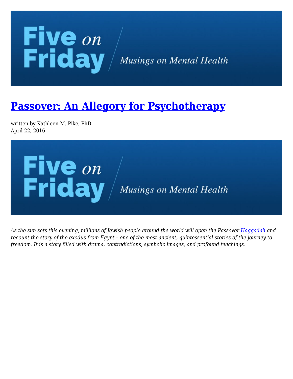## **Five** on<br>Friday / Musings on Mental Health

## **[Passover: An Allegory for Psychotherapy](https://kathypikephd.com/five-on-friday/passover-an-allegory-for-psychotherapy/)**

written by Kathleen M. Pike, PhD April 22, 2016



*As the sun sets this evening, millions of Jewish people around the world will open the Passover [Haggadah](https://en.wikipedia.org/wiki/Haggadah) and recount the story of the exodus from Egypt – one of the most ancient, quintessential stories of the journey to freedom. It is a story filled with drama, contradictions, symbolic images, and profound teachings.*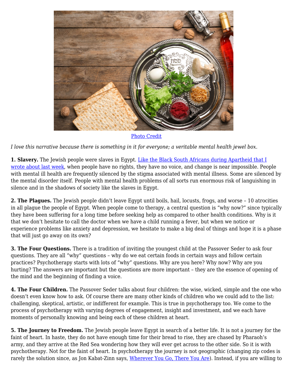

[Photo Credit](https://stock.adobe.com/251021237?asset_id=251021237)

*I love this narrative because there is something in it for everyone; a veritable mental health jewel box.*

**1. Slavery.** The Jewish people were slaves in Egypt. [Like the Black South Africans during Apartheid that I](https://www.kathypikephd.com/five-on-friday/robben-island-lepers-lunatics-and-political-prisoners/) [wrote about last week,](https://www.kathypikephd.com/five-on-friday/robben-island-lepers-lunatics-and-political-prisoners/) when people have no rights, they have no voice, and change is near impossible. People with mental ill health are frequently silenced by the stigma associated with mental illness. Some are silenced by the mental disorder itself. People with mental health problems of all sorts run enormous risk of languishing in silence and in the shadows of society like the slaves in Egypt.

**2. The Plagues.** The Jewish people didn't leave Egypt until boils, hail, locusts, frogs, and worse – 10 atrocities in all plague the people of Egypt. When people come to therapy, a central question is "why now?" since typically they have been suffering for a long time before seeking help as compared to other health conditions. Why is it that we don't hesitate to call the doctor when we have a child running a fever, but when we notice or experience problems like anxiety and depression, we hesitate to make a big deal of things and hope it is a phase that will just go away on its own?

**3. The Four Questions.** There is a tradition of inviting the youngest child at the Passover Seder to ask four questions. They are all "why" questions – why do we eat certain foods in certain ways and follow certain practices? Psychotherapy starts with lots of "why" questions. Why are you here? Why now? Why are you hurting? The answers are important but the questions are more important – they are the essence of opening of the mind and the beginning of finding a voice.

**4. The Four Children.** The Passover Seder talks about four children: the wise, wicked, simple and the one who doesn't even know how to ask. Of course there are many other kinds of children who we could add to the list: challenging, skeptical, artistic, or indifferent for example. This is true in psychotherapy too. We come to the process of psychotherapy with varying degrees of engagement, insight and investment, and we each have moments of personally knowing and being each of these children at heart.

**5. The Journey to Freedom.** The Jewish people leave Egypt in search of a better life. It is not a journey for the faint of heart. In haste, they do not have enough time for their bread to rise, they are chased by Pharaoh's army, and they arrive at the Red Sea wondering how they will ever get across to the other side. So it is with psychotherapy. Not for the faint of heart. In psychotherapy the journey is not geographic (changing zip codes is rarely the solution since, as Jon Kabat-Zinn says, [Wherever You Go, There You Are\)](https://www.barnesandnoble.com/w/wherever-you-go-there-you-are-jon-kabat-zinn/1102636030). Instead, if you are willing to